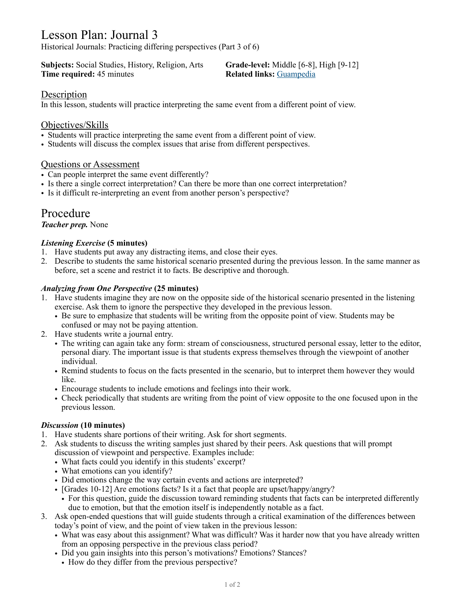# Lesson Plan: Journal 3

Historical Journals: Practicing differing perspectives (Part 3 of 6)

**Subjects:** Social Studies, History, Religion, Arts **Grade-level:** Middle [6-8], High [9-12] **Time required:** 45 minutes **Related links:** [Guampedia](https://www.guampedia.com/)

# Description

In this lesson, students will practice interpreting the same event from a different point of view.

# Objectives/Skills

- Students will practice interpreting the same event from a different point of view.
- Students will discuss the complex issues that arise from different perspectives.

# Questions or Assessment

- Can people interpret the same event differently?
- Is there a single correct interpretation? Can there be more than one correct interpretation?
- Is it difficult re-interpreting an event from another person's perspective?

# Procedure

#### *Teacher prep.* None

# *Listening Exercise* **(5 minutes)**

- 1. Have students put away any distracting items, and close their eyes.
- 2. Describe to students the same historical scenario presented during the previous lesson. In the same manner as before, set a scene and restrict it to facts. Be descriptive and thorough.

#### *Analyzing from One Perspective* **(25 minutes)**

- 1. Have students imagine they are now on the opposite side of the historical scenario presented in the listening exercise. Ask them to ignore the perspective they developed in the previous lesson.
	- Be sure to emphasize that students will be writing from the opposite point of view. Students may be confused or may not be paying attention.
- 2. Have students write a journal entry.
	- The writing can again take any form: stream of consciousness, structured personal essay, letter to the editor, personal diary. The important issue is that students express themselves through the viewpoint of another individual.
	- Remind students to focus on the facts presented in the scenario, but to interpret them however they would like.
	- Encourage students to include emotions and feelings into their work.
	- Check periodically that students are writing from the point of view opposite to the one focused upon in the previous lesson.

# *Discussion* **(10 minutes)**

- 1. Have students share portions of their writing. Ask for short segments.
- 2. Ask students to discuss the writing samples just shared by their peers. Ask questions that will prompt discussion of viewpoint and perspective. Examples include:
	- What facts could you identify in this students' excerpt?
	- What emotions can you identify?
	- Did emotions change the way certain events and actions are interpreted?
	- [Grades 10-12] Are emotions facts? Is it a fact that people are upset/happy/angry?
	- For this question, guide the discussion toward reminding students that facts can be interpreted differently due to emotion, but that the emotion itself is independently notable as a fact.
- 3. Ask open-ended questions that will guide students through a critical examination of the differences between today's point of view, and the point of view taken in the previous lesson:
	- What was easy about this assignment? What was difficult? Was it harder now that you have already written from an opposing perspective in the previous class period?
	- Did you gain insights into this person's motivations? Emotions? Stances?
		- How do they differ from the previous perspective?